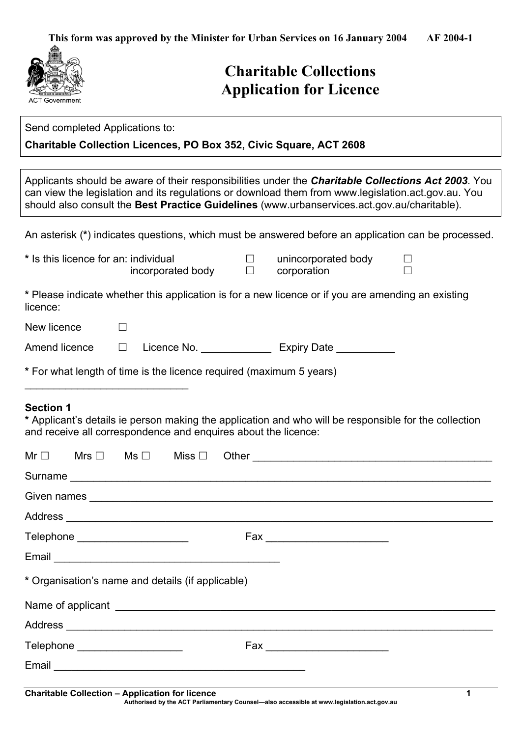**This form was approved by the Minister for Urban Services on 16 January 2004 AF 2004-1** 



# **Charitable Collections Application for Licence**

| Send completed Applications to:                                                                                                                                                                                                                                                                                  |                                    |  |  |
|------------------------------------------------------------------------------------------------------------------------------------------------------------------------------------------------------------------------------------------------------------------------------------------------------------------|------------------------------------|--|--|
| <b>Charitable Collection Licences, PO Box 352, Civic Square, ACT 2608</b>                                                                                                                                                                                                                                        |                                    |  |  |
|                                                                                                                                                                                                                                                                                                                  |                                    |  |  |
| Applicants should be aware of their responsibilities under the <b>Charitable Collections Act 2003</b> . You<br>can view the legislation and its regulations or download them from www.legislation.act.gov.au. You<br>should also consult the Best Practice Guidelines (www.urbanservices.act.gov.au/charitable). |                                    |  |  |
| An asterisk (*) indicates questions, which must be answered before an application can be processed.                                                                                                                                                                                                              |                                    |  |  |
| * Is this licence for an: individual<br>$\perp$<br>incorporated body<br>$\Box$                                                                                                                                                                                                                                   | unincorporated body<br>corporation |  |  |
| * Please indicate whether this application is for a new licence or if you are amending an existing<br>licence:                                                                                                                                                                                                   |                                    |  |  |

Amend licence  $\Box$  Licence No. \_\_\_\_\_\_\_\_\_\_\_\_\_\_ Expiry Date \_\_\_\_\_\_\_\_\_\_\_\_\_\_\_\_\_\_\_\_\_\_

**\*** For what length of time is the licence required (maximum 5 years)

### **Section 1**

New licence  $\Box$ 

 $\_$ 

**\*** Applicant's details ie person making the application and who will be responsible for the collection and receive all correspondence and enquires about the licence:

|                                                   | Telephone ______________________ |  |  |  |                        |  |
|---------------------------------------------------|----------------------------------|--|--|--|------------------------|--|
|                                                   |                                  |  |  |  |                        |  |
| * Organisation's name and details (if applicable) |                                  |  |  |  |                        |  |
|                                                   |                                  |  |  |  |                        |  |
|                                                   |                                  |  |  |  |                        |  |
|                                                   | Telephone _____________________  |  |  |  | Fax __________________ |  |
|                                                   |                                  |  |  |  |                        |  |
|                                                   |                                  |  |  |  |                        |  |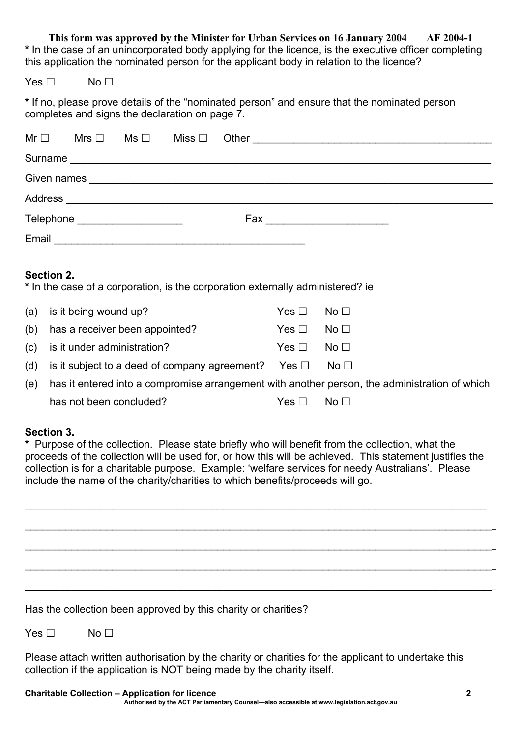**This form was approved by the Minister for Urban Services on 16 January 2004 AF 2004-1 \*** In the case of an unincorporated body applying for the licence, is the executive officer completing this application the nominated person for the applicant body in relation to the licence?

 $Yes \Box$  No  $\Box$ 

**\*** If no, please prove details of the "nominated person" and ensure that the nominated person completes and signs the declaration on page 7.

|            |  |                                 |  | Surname                                                                                                        |
|------------|--|---------------------------------|--|----------------------------------------------------------------------------------------------------------------|
|            |  |                                 |  |                                                                                                                |
|            |  |                                 |  |                                                                                                                |
|            |  | Telephone _____________________ |  | Fax ____________________                                                                                       |
|            |  |                                 |  |                                                                                                                |
|            |  |                                 |  |                                                                                                                |
| Section 2. |  |                                 |  | - Contractor Andreas Andreas Andreas Andreas Andreas Andreas Andreas Andreas Andreas Andreas Andreas Andreas A |

**\*** In the case of a corporation, is the corporation externally administered? ie

| (a) is it being wound up?                                       | $Yes \Box \quad No \Box$  |                                         |
|-----------------------------------------------------------------|---------------------------|-----------------------------------------|
| (b) has a receiver been appointed?                              | $Yes \Box \quad No \Box$  |                                         |
| (c) is it under administration?                                 | $Yes \Box \qquad No \Box$ |                                         |
| (d) is it subject to a deed of company agreement? Yes $\square$ |                           | $\overline{\mathsf{N}}\mathsf{o}\,\Box$ |
|                                                                 |                           |                                         |

(e) has it entered into a compromise arrangement with another person, the administration of which has not been concluded?  $Yes \Box \qquad No \Box$ 

#### **Section 3.**

**\*** Purpose of the collection. Please state briefly who will benefit from the collection, what the proceeds of the collection will be used for, or how this will be achieved. This statement justifies the collection is for a charitable purpose. Example: 'welfare services for needy Australians'. Please include the name of the charity/charities to which benefits/proceeds will go.

 $\_$ 

 $\_$  , and the state of the state of the state of the state of the state of the state of the state of the state of the state of the state of the state of the state of the state of the state of the state of the state of the

\_\_\_\_\_\_\_\_\_\_\_\_\_\_\_\_\_\_\_\_\_\_\_\_\_\_\_\_\_\_\_\_\_\_\_\_\_\_\_\_\_\_\_\_\_\_\_\_\_\_\_\_\_\_\_\_\_\_\_\_\_\_\_\_\_\_\_\_\_\_\_\_\_\_\_\_\_\_\_\_\_

\_\_\_\_\_\_\_\_\_\_\_\_\_\_\_\_\_\_\_\_\_\_\_\_\_\_\_\_\_\_\_\_\_\_\_\_\_\_\_\_\_\_\_\_\_\_\_\_\_\_\_\_\_\_\_\_\_\_\_\_\_\_\_\_\_\_\_\_\_\_\_\_\_\_\_\_\_\_\_\_\_

 $\_$  , and the state of the state of the state of the state of the state of the state of the state of the state of the state of the state of the state of the state of the state of the state of the state of the state of the

Has the collection been approved by this charity or charities?

 $Yes \Box$  No  $\Box$ 

Please attach written authorisation by the charity or charities for the applicant to undertake this collection if the application is NOT being made by the charity itself.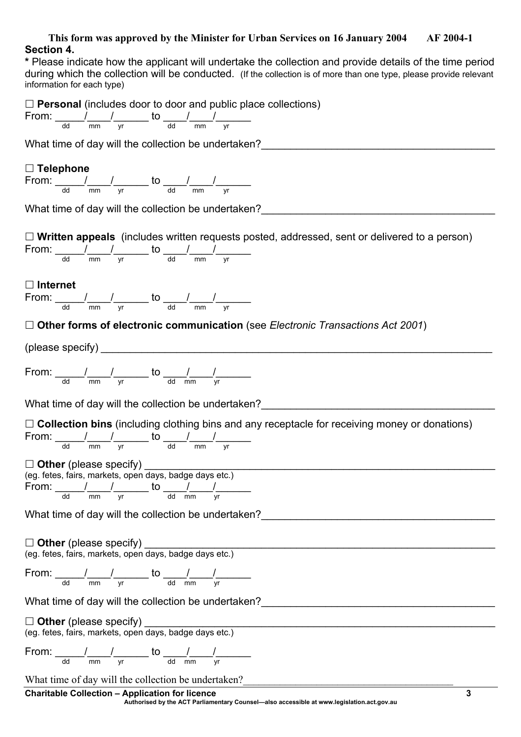#### **This form was approved by the Minister for Urban Services on 16 January 2004 AF 2004-1 Section 4.**

**\*** Please indicate how the applicant will undertake the collection and provide details of the time period during which the collection will be conducted. (If the collection is of more than one type, please provide relevant information for each type)

□ **Personal** (includes door to door and public place collections) From:  $\frac{1}{2}$   $\frac{1}{2}$  to  $\frac{1}{2}$   $\frac{1}{2}$ dd mm yr dd mm yr

What time of day will the collection be undertaken?

# **Telephone**

From: \_\_\_\_\_\_/\_\_\_\_/\_\_\_\_\_\_\_ to \_\_\_\_\_/\_\_\_\_\_/\_\_\_\_\_\_\_ dd mm yr dd mm yr

What time of day will the collection be undertaken?

| $\Box$ Written appeals (includes written requests posted, addressed, sent or delivered to a person)                                                                                                                                    |
|----------------------------------------------------------------------------------------------------------------------------------------------------------------------------------------------------------------------------------------|
| From: $\frac{1}{\frac{d}{d}} \frac{1}{\frac{dm}{d}}$ $\frac{1}{\frac{v}{d}}$ to $\frac{1}{\frac{d}{d}} \frac{1}{\frac{dm}{d}}$                                                                                                         |
| $\Box$ Internet<br>From: $\frac{1}{\frac{d}{d}} \frac{1}{\frac{dm}{d}}$ $\frac{1}{\frac{v}{d}}$ to $\frac{1}{\frac{d}{d}} \frac{1}{\frac{dm}{d}}$                                                                                      |
| $\Box$ Other forms of electronic communication (see Electronic Transactions Act 2001)                                                                                                                                                  |
| (please specify)                                                                                                                                                                                                                       |
| From: $\frac{1}{\frac{d}{d}} \frac{1}{\frac{dm}{d}}$ $\frac{1}{\frac{v}{d}}$ to $\frac{1}{\frac{d}{d}} \frac{1}{\frac{dm}{d}}$                                                                                                         |
| What time of day will the collection be undertaken?                                                                                                                                                                                    |
| $\Box$ Collection bins (including clothing bins and any receptacle for receiving money or donations)<br>From: $\frac{1}{\frac{d}{d}} \frac{1}{\frac{dm}{d}}$ $\frac{1}{\frac{v}{d}}$ to $\frac{1}{\frac{d}{d}} \frac{1}{\frac{dm}{d}}$ |
| (eg. fetes, fairs, markets, open days, badge days etc.)<br>From: $\frac{1}{\frac{d}{d}} \frac{1}{\frac{dm}{d}}$ $\frac{1}{\frac{v}{d}}$ to $\frac{1}{\frac{d}{d}} \frac{1}{\frac{dm}{d}}$                                              |
| What time of day will the collection be undertaken?                                                                                                                                                                                    |
| □ Other (please specify)<br>(eg. fetes, fairs, markets, open days, badge days etc.)                                                                                                                                                    |
| From: $\frac{1}{\text{dd}}$ $\frac{1}{\text{mm}}$ $\frac{1}{\text{vr}}$ to $\frac{1}{\text{dd}}$ $\frac{1}{\text{mm}}$                                                                                                                 |
| What time of day will the collection be undertaken?                                                                                                                                                                                    |
| $\Box$ Other (please specify)<br>(eg. fetes, fairs, markets, open days, badge days etc.)                                                                                                                                               |
| From: $\frac{1}{\frac{d}{d}} \frac{1}{m m} \frac{1}{y r}$ to $\frac{1}{\frac{d}{d}} \frac{1}{m m} \frac{1}{y r}$                                                                                                                       |
| What time of day will the collection be undertaken?                                                                                                                                                                                    |
| <b>Charitable Collection - Application for licence</b><br>3                                                                                                                                                                            |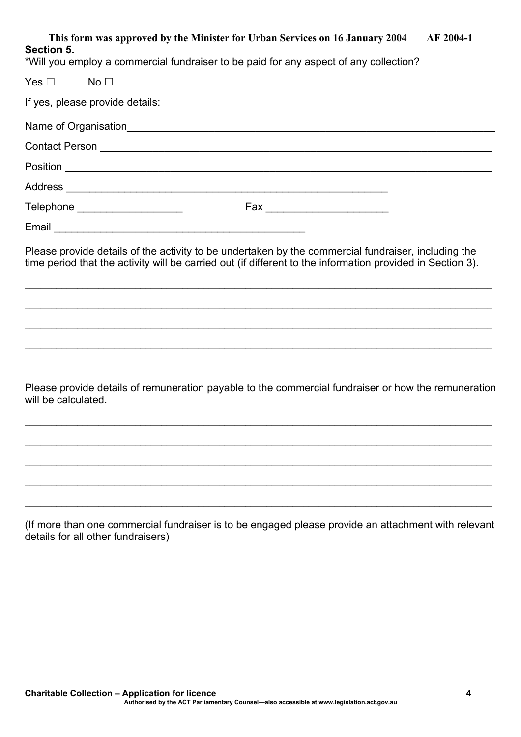| This form was approved by the Minister for Urban Services on 16 January 2004 AF 2004-1<br>Section 5.<br>*Will you employ a commercial fundraiser to be paid for any aspect of any collection?                     |
|-------------------------------------------------------------------------------------------------------------------------------------------------------------------------------------------------------------------|
| $Yes \Box$ No $\Box$                                                                                                                                                                                              |
| If yes, please provide details:                                                                                                                                                                                   |
|                                                                                                                                                                                                                   |
|                                                                                                                                                                                                                   |
|                                                                                                                                                                                                                   |
|                                                                                                                                                                                                                   |
| Telephone _____________________                                                                                                                                                                                   |
| Email 2008 2009 2009 2009 2009 2010 2021 2022 2023 2024 2022 2023 2024 2022 2023 2024 2022 2023 2024 2025 2026                                                                                                    |
| Please provide details of the activity to be undertaken by the commercial fundraiser, including the<br>time period that the activity will be carried out (if different to the information provided in Section 3). |

Please provide details of remuneration payable to the commercial fundraiser or how the remuneration will be calculated.

 $\_$  , and the contribution of the contribution of the contribution of the contribution of the contribution of  $\mathcal{L}_\text{max}$ 

 $\_$  , and the contribution of the contribution of the contribution of the contribution of the contribution of  $\mathcal{L}_\text{max}$ 

 $\mathcal{L}_\mathcal{L} = \mathcal{L}_\mathcal{L} = \mathcal{L}_\mathcal{L} = \mathcal{L}_\mathcal{L} = \mathcal{L}_\mathcal{L} = \mathcal{L}_\mathcal{L} = \mathcal{L}_\mathcal{L} = \mathcal{L}_\mathcal{L} = \mathcal{L}_\mathcal{L} = \mathcal{L}_\mathcal{L} = \mathcal{L}_\mathcal{L} = \mathcal{L}_\mathcal{L} = \mathcal{L}_\mathcal{L} = \mathcal{L}_\mathcal{L} = \mathcal{L}_\mathcal{L} = \mathcal{L}_\mathcal{L} = \mathcal{L}_\mathcal{L}$ 

 $\_$  , and the contribution of the contribution of the contribution of the contribution of the contribution of  $\mathcal{L}_\text{max}$ 

 $\_$  , and the contribution of the contribution of the contribution of the contribution of the contribution of  $\mathcal{L}_\text{max}$ 

 $\_$  , and the contribution of the contribution of the contribution of the contribution of the contribution of  $\mathcal{L}_\text{max}$ 

 $\mathcal{L}_\mathcal{L} = \mathcal{L}_\mathcal{L} = \mathcal{L}_\mathcal{L} = \mathcal{L}_\mathcal{L} = \mathcal{L}_\mathcal{L} = \mathcal{L}_\mathcal{L} = \mathcal{L}_\mathcal{L} = \mathcal{L}_\mathcal{L} = \mathcal{L}_\mathcal{L} = \mathcal{L}_\mathcal{L} = \mathcal{L}_\mathcal{L} = \mathcal{L}_\mathcal{L} = \mathcal{L}_\mathcal{L} = \mathcal{L}_\mathcal{L} = \mathcal{L}_\mathcal{L} = \mathcal{L}_\mathcal{L} = \mathcal{L}_\mathcal{L}$ 

 $\_$  , and the contribution of the contribution of the contribution of the contribution of the contribution of  $\mathcal{L}_\text{max}$ 

 $\_$  , and the contribution of the contribution of the contribution of the contribution of the contribution of  $\mathcal{L}_\text{max}$ 

(If more than one commercial fundraiser is to be engaged please provide an attachment with relevant details for all other fundraisers)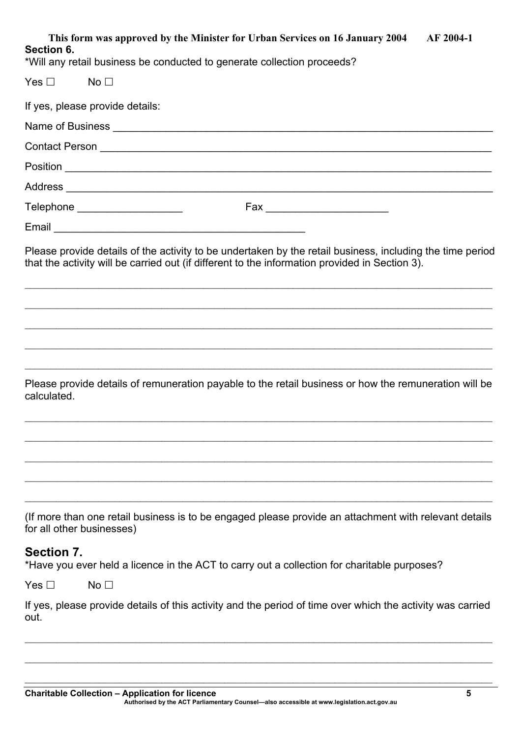| This form was approved by the Minister for Urban Services on 16 January 2004<br>AF 2004-1<br>Section 6.                                                                                                     |
|-------------------------------------------------------------------------------------------------------------------------------------------------------------------------------------------------------------|
| *Will any retail business be conducted to generate collection proceeds?                                                                                                                                     |
| Yes $\Box$<br>No <sub>1</sub>                                                                                                                                                                               |
| If yes, please provide details:                                                                                                                                                                             |
|                                                                                                                                                                                                             |
|                                                                                                                                                                                                             |
|                                                                                                                                                                                                             |
|                                                                                                                                                                                                             |
| Telephone _____________________                                                                                                                                                                             |
|                                                                                                                                                                                                             |
| Please provide details of the activity to be undertaken by the retail business, including the time period<br>that the activity will be carried out (if different to the information provided in Section 3). |
|                                                                                                                                                                                                             |
| ,我们也不能在这里的人,我们也不能在这里的人,我们也不能在这里的人,我们也不能在这里的人,我们也不能在这里的人,我们也不能在这里的人,我们也不能在这里的人,我们也<br>Please provide details of remuneration payable to the retail business or how the remuneration will be<br>calculated.   |
|                                                                                                                                                                                                             |
| (If more than one retail business is to be engaged please provide an attachment with relevant details<br>for all other businesses)                                                                          |
| Section 7.<br>*Have you ever held a licence in the ACT to carry out a collection for charitable purposes?                                                                                                   |
| Yes $\Box$<br>No <sub>1</sub>                                                                                                                                                                               |

If yes, please provide details of this activity and the period of time over which the activity was carried out.

 $\mathcal{L}_\mathcal{L} = \mathcal{L}_\mathcal{L} = \mathcal{L}_\mathcal{L} = \mathcal{L}_\mathcal{L} = \mathcal{L}_\mathcal{L} = \mathcal{L}_\mathcal{L} = \mathcal{L}_\mathcal{L} = \mathcal{L}_\mathcal{L} = \mathcal{L}_\mathcal{L} = \mathcal{L}_\mathcal{L} = \mathcal{L}_\mathcal{L} = \mathcal{L}_\mathcal{L} = \mathcal{L}_\mathcal{L} = \mathcal{L}_\mathcal{L} = \mathcal{L}_\mathcal{L} = \mathcal{L}_\mathcal{L} = \mathcal{L}_\mathcal{L}$ 

 $\_$  , and the contribution of the contribution of the contribution of the contribution of the contribution of  $\mathcal{L}_\text{max}$ 

 $\_$  , and the contribution of the contribution of the contribution of the contribution of the contribution of  $\mathcal{L}_\text{max}$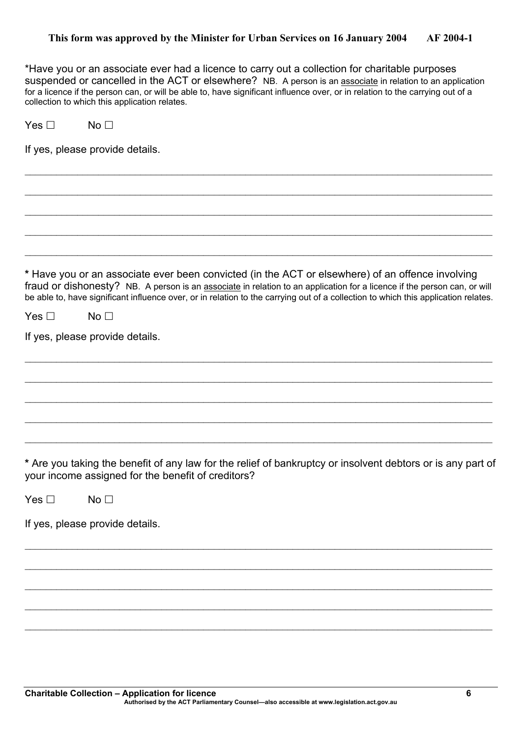\*Have you or an associate ever had a licence to carry out a collection for charitable purposes suspended or cancelled in the ACT or elsewhere? NB. A person is an associate in relation to an application for a licence if the person can, or will be able to, have significant influence over, or in relation to the carrying out of a collection to which this application relates.

 $\_$  , and the contribution of the contribution of the contribution of the contribution of the contribution of  $\mathcal{L}_\text{max}$ 

 $\mathcal{L}_\mathcal{L} = \mathcal{L}_\mathcal{L} = \mathcal{L}_\mathcal{L} = \mathcal{L}_\mathcal{L} = \mathcal{L}_\mathcal{L} = \mathcal{L}_\mathcal{L} = \mathcal{L}_\mathcal{L} = \mathcal{L}_\mathcal{L} = \mathcal{L}_\mathcal{L} = \mathcal{L}_\mathcal{L} = \mathcal{L}_\mathcal{L} = \mathcal{L}_\mathcal{L} = \mathcal{L}_\mathcal{L} = \mathcal{L}_\mathcal{L} = \mathcal{L}_\mathcal{L} = \mathcal{L}_\mathcal{L} = \mathcal{L}_\mathcal{L}$ 

 $\_$  , and the contribution of the contribution of the contribution of the contribution of the contribution of  $\mathcal{L}_\text{max}$ 

 $\_$  , and the contribution of the contribution of the contribution of the contribution of the contribution of  $\mathcal{L}_\text{max}$ 

 $\mathcal{L}_\mathcal{L} = \mathcal{L}_\mathcal{L} = \mathcal{L}_\mathcal{L} = \mathcal{L}_\mathcal{L} = \mathcal{L}_\mathcal{L} = \mathcal{L}_\mathcal{L} = \mathcal{L}_\mathcal{L} = \mathcal{L}_\mathcal{L} = \mathcal{L}_\mathcal{L} = \mathcal{L}_\mathcal{L} = \mathcal{L}_\mathcal{L} = \mathcal{L}_\mathcal{L} = \mathcal{L}_\mathcal{L} = \mathcal{L}_\mathcal{L} = \mathcal{L}_\mathcal{L} = \mathcal{L}_\mathcal{L} = \mathcal{L}_\mathcal{L}$ 

 $Yes \Box$  No  $\Box$ 

If yes, please provide details.

**\*** Have you or an associate ever been convicted (in the ACT or elsewhere) of an offence involving fraud or dishonesty? NB. A person is an associate in relation to an application for a licence if the person can, or will be able to, have significant influence over, or in relation to the carrying out of a collection to which this application relates.

 $\_$  , and the contribution of the contribution of the contribution of the contribution of the contribution of  $\mathcal{L}_\text{max}$ 

 $\_$  , and the contribution of the contribution of the contribution of the contribution of the contribution of  $\mathcal{L}_\text{max}$ 

 $\mathcal{L}_\mathcal{L} = \mathcal{L}_\mathcal{L} = \mathcal{L}_\mathcal{L} = \mathcal{L}_\mathcal{L} = \mathcal{L}_\mathcal{L} = \mathcal{L}_\mathcal{L} = \mathcal{L}_\mathcal{L} = \mathcal{L}_\mathcal{L} = \mathcal{L}_\mathcal{L} = \mathcal{L}_\mathcal{L} = \mathcal{L}_\mathcal{L} = \mathcal{L}_\mathcal{L} = \mathcal{L}_\mathcal{L} = \mathcal{L}_\mathcal{L} = \mathcal{L}_\mathcal{L} = \mathcal{L}_\mathcal{L} = \mathcal{L}_\mathcal{L}$ 

 $\_$  , and the contribution of the contribution of the contribution of the contribution of the contribution of  $\mathcal{L}_\text{max}$ 

 $\_$  , and the contribution of the contribution of the contribution of the contribution of the contribution of  $\mathcal{L}_\text{max}$ 

| Yes $\square$ | No <sub>1</sub> |  |
|---------------|-----------------|--|
|---------------|-----------------|--|

If yes, please provide details.

**\*** Are you taking the benefit of any law for the relief of bankruptcy or insolvent debtors or is any part of your income assigned for the benefit of creditors?

 $\_$  , and the contribution of the contribution of the contribution of the contribution of the contribution of  $\mathcal{L}_\text{max}$ 

 $\mathcal{L}_\mathcal{L} = \mathcal{L}_\mathcal{L} = \mathcal{L}_\mathcal{L} = \mathcal{L}_\mathcal{L} = \mathcal{L}_\mathcal{L} = \mathcal{L}_\mathcal{L} = \mathcal{L}_\mathcal{L} = \mathcal{L}_\mathcal{L} = \mathcal{L}_\mathcal{L} = \mathcal{L}_\mathcal{L} = \mathcal{L}_\mathcal{L} = \mathcal{L}_\mathcal{L} = \mathcal{L}_\mathcal{L} = \mathcal{L}_\mathcal{L} = \mathcal{L}_\mathcal{L} = \mathcal{L}_\mathcal{L} = \mathcal{L}_\mathcal{L}$ 

 $\_$  , and the contribution of the contribution of the contribution of the contribution of the contribution of  $\mathcal{L}_\text{max}$ 

 $\_$  , and the contribution of the contribution of the contribution of the contribution of the contribution of  $\mathcal{L}_\text{max}$ 

 $\mathcal{L}_\mathcal{L} = \{ \mathcal{L}_\mathcal{L} = \{ \mathcal{L}_\mathcal{L} = \{ \mathcal{L}_\mathcal{L} = \{ \mathcal{L}_\mathcal{L} = \{ \mathcal{L}_\mathcal{L} = \{ \mathcal{L}_\mathcal{L} = \{ \mathcal{L}_\mathcal{L} = \{ \mathcal{L}_\mathcal{L} = \{ \mathcal{L}_\mathcal{L} = \{ \mathcal{L}_\mathcal{L} = \{ \mathcal{L}_\mathcal{L} = \{ \mathcal{L}_\mathcal{L} = \{ \mathcal{L}_\mathcal{L} = \{ \mathcal{L}_\mathcal{$ 

 $Yes \Box$  No  $\Box$ 

If yes, please provide details.